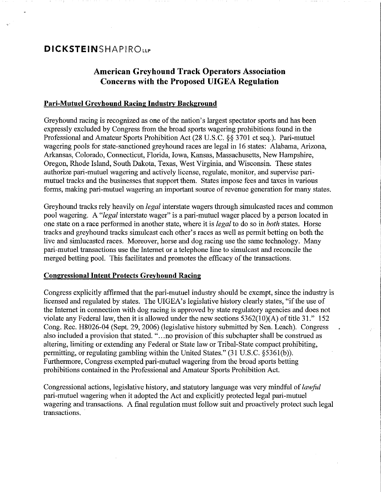## **American Greyhound Track Operators Association Concerns with the Proposed UIGEA Regulation**

### **Pari-Mutuel Greyhound Racing Industry Background**

Greyhound racing is recognized as one of the nation's largest spectator sports and has been expressly excluded by Congress from the broad sports wagering prohibitions found in the Professional and Amateur Sports Prohibition Act (28 U.S.C. §§ 3701 et seq.). Pari-mutuel wagering pools for state-sanctioned greyhound races are legal in 16 states: Alabama, Arizona, Arkansas, Colorado, Connecticut, Florida, Iowa, Kansas, Massachusetts, New Hampshire, Oregon, Rhode Island, South Dakota, Texas, West Virginia, and Wisconsin. These states authorize pari-mutuel wagering and actively license, regulate, monitor, and supervise parimutuel tracks and the businesses that support them. States impose fees and taxes in various forms, making pari-mutuel wagering an important source of revenue generation for many states.

Greyhound tracks rely heavily on *legal* interstate wagers through simulcasted races and common pool wagering. A *"legal* interstate wager" is a pari-mutuel wager placed by a person located in one state on a race performed in another state, where **it** is *legal* to do so in *both* states. Horse tracks and greyhound tracks simulcast each other's races as well as permit betting on both the live and simlucasted races. Moreover, horse and dog racing use the same technology. Many pari-mutuel transactions use the Internet or a telephone line to simulcast and reconcile the merged betting pool. This facilitates and promotes the efficacy of the transactions.

#### **Congressional Intent Protects Greyhound Racing**

Congress explicitly affirmed that the pari-mutuel industry should be exempt, since the industry is licensed and regulated by states. The UIGEA's legislative history clearly states, "if the use of the Internet in connection with dog racing is approved by state regulatory agencies and does not violate any Federal law, then it is allowed under the new sections  $5362(10)(A)$  of title 31." 152 Cong. Rec. H8026-04 (Sept. 29, 2006) (legislative history submitted by Sen. Leach). Congress also included a provision that stated. " ... no provision of this subchapter shall be construed as altering, limiting or extending any Federal or State law or Tribal-State compact prohibiting, permitting, or regulating gambling within the United States." (31 U.S.C. §5361(b)). Furthermore, Congress exempted pari-mutuel wagering from the broad sports betting prohibitions contained in the Professional and Amateur Sports Prohibition Act.

Congressional actions, legislative history, and statutory language was very mindful of *lawful*  pari-mutuel wagering when it adopted the Act and explicitly protected legal pari-mutuel wagering and transactions. A final regulation must follow suit and proactively protect such legal transactions. .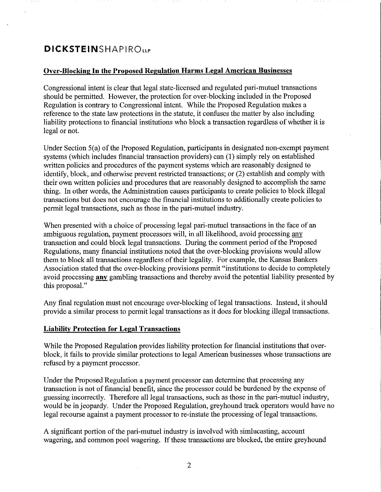### **Over-Blocking In the Proposed Regulation Harms Legal American Businesses**

Congressional intent is clear **that** legal state-licensed and regulated pari-mutuel transactions should be permitted. However, the protection for over-blocking included in the Proposed Regulation is contrary to Congressional intent. While the Proposed Regulation makes a reference to the state law protections in the statute, it confuses the matter by also including liability protections to financial institutions who block a transaction regardless of whether it is legal or not.

Under Section 5(a) of the Proposed Regulation, participants in designated non-exempt payment systems (which includes financial transaction providers) can (1) simply rely on established written policies and procedures of the payment systems which are reasonably designed to identifY, block, and otherwise prevent restricted transactions; or (2) establish and comply with their own written policies and procedures that are reasonably designed to accomplish the same thing. In other words, the Administration causes participants to create policies to block illegal transactions but does not encourage the financial institutions to additionally create policies to permit legal transactions, such as those in the pari-mutuel industry.

When presented with a choice of processing legal pari-mutuel transactions in the face of an ambiguous regulation, payment processors will, in all likelihood, avoid processing any transaction and could block legal transactions. During the comment period of the Proposed Regulations, many financial institutions noted that the over-blocking provisions would allow them to block all transactions regardless of their legality. For example, the Kansas Bankers Association stated that the over-blocking provisions permit "institutions to decide to completely avoid processing **any** gambling transactions and thereby avoid the potential liability presented by this proposal."

Any final regulation must not encourage over-blocking of legal transactions. Instead, it should provide a similar process to permit legal transactions as it does for blocking illegal transactions.

#### **Liability Protection for Legal Transactions**

While the Proposed Regulation provides liability protection for financial institutions that overblock, it fails to provide similar protections to legal American businesses whose transactions are refused by a payment processor.

Under the Proposed Regulation a payment processor can determine that processing any transaction is not of financial benefit, since the processor could be burdened by the expense of guessing incorrectly. Therefore all legal transactions, such as those in the pari-mutuel industry, would be in jeopardy. Under the Proposed Regulation, greyhound track operators would have no legal recourse against a payment processor to re-instate the processing of legal transactions.

A significant portion of the pari-mutuel industry is involved with simlucasting, account wagering, and common pool wagering. If these transactions are blocked, the entire greyhound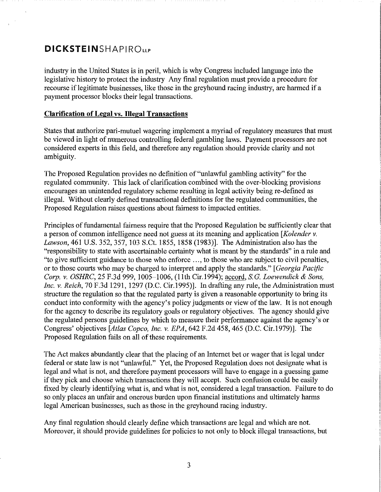industry in the United States is in peril, which is why Congress included language into the legislative history to protect the industry Any final regulation must provide a procedure for recourse iflegitimate businesses, like those in the greyhound racing industry, are harmed if a payment processor blocks their legal transactions.

### **Clarification of Legal** vs. **Illegal Transactions**

States that authorize pari-mutuel wagering implement a myriad of regulatory measures that must be viewed in light of numerous controlling federal gambling laws. Payment processors are not considered experts in this field, and therefore any regulation should provide clarity and not ambiguity.

The Proposed Regulation provides no definition of "unlawful gambling activity" for the regulated community. This lack of clarification combined with the over-blocking provisions encourages an unintended regulatory scheme resulting in legal activity being re-defined as illegal. Without clearly defined transactional definitions for the regulated communities, the Proposed Regulation raises questions about fairness to impacted entities.

Principles of fundamental fairness require that the Proposed Regulation be sufficiently clear that a person of common intelligence need not guess at its meaning and application *[Kolender* v. *Lawson,* 461 U.S. 352, 357,103 S.Ct. 1855, 1858 (1983)]. The Administration also has the "responsibility to state with ascertainable certainty what is meant by the standards" in a rule and "to give sufficient guidance to those who enforce ..., to those who are subject to civil penalties, or to those courts who may be charged to interpret and apply the standards." *[Georgia Pacific Corp.* v. *OSHRC,* 25 F.3d 999,1005-1006, (1Ith Cir. I 994); accord, *s.G. Loewendick* & *Sons, Inc. v. Reich*, 70 F.3d 1291, 1297 (D.C. Cir.1995)]. In drafting any rule, the Administration must structure the regulation so that the regulated party is given a reasonable opportunity to bring its conduct into conformity with the agency's policy judgments or view of the law. It is not enough for the agency to describe its regulatory goals or regulatory objectives. The agency should give the regulated persons guidelines by which to measure their performance against the agency's or Congress' objectives *[Atlas Copco, Inc.* v. *EPA,* 642 F.2d 458,465 (D.C. Cir.1979)]. The Proposed Regulation fails on all of these requirements.

The Act makes abundantly clear that the placing of an Internet bet or wager that is legal under federal or state law is not "unlawful." Yet, the Proposed Regulation does not designate what is legal and what is not, and therefore payment processors will have to engage in a guessing game if they pick and choose which transactions they will accept. Such confusion could be easily fixed by clearly identifying what is, and what is not, considered a legal transaction. Failure to do so only places an unfair and onerous burden upon financial institutions and ultimately harms legal American businesses, such as those in the greyhound racing industry.

Any final regulation should clearly define which transactions are legal and which are not. Moreover, it should provide guidelines for policies to not only to block illegal transactions, but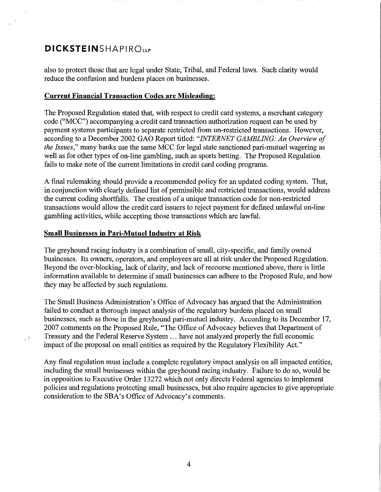also to protect those that are legal under State, Tribal, and Federal laws. Such clarity would reduce the confusion and burdens places on businesses.

### **Current Financial Transaction Codes are Misleading:**

The Proposed Regulation stated that, with respect to credit card systems, a merchant category code ("MCC") accompanying a credit card transaction authorization request can be used by payment systems participants to separate restricted from un-restricted transactions. However, according to a December 2002 GAO Report titled: *"INTERNET GAMBLING: An Overview of the Issues,"* many banks use the same MCC for legal state sanctioned pari-mutuel wagering as well as for other types of on-line gambling, such as sports betting. The Proposed Regulation fails to make note of the current limitations in credit card coding programs.

A fmal rulemaking should provide a recommended policy for an updated coding system. That, in conjunction with clearly defined list of permissible and restricted transactions, would address the current coding shortfalls. The creation of a unique transaction code for non-restricted transactions would allow the credit card issuers to reject payment for defined unlawful on-line gambling activities, while accepting those transactions which are lawful.

### **Small Bnsinesses in Pari-Mntuel Industry at Risk**

لى

The greyhound racing industry is a combination of small, city-specific, and family owned businesses. Its owners, operators, and employees are all at risk under the Proposed Regulation. Beyond the over-blocking, lack of clarity, and lack of recourse mentioned above, there is little information available to determine if small businesses can adhere to the Proposed Rule, and how they may be affected by such regulations.

The Small Business Administration's Office of Advocacy has argued that the Administration failed to conduct a thorough impact analysis of the regulatory burdens placed on small businesses, such as those in the greyhound pari-mutuel industry. According to its December 17, 2007 comments on the Proposed Rule, "The Office of Advocacy believes that Department of Treasury and the Federal Reserve System ... have not analyzed properly the full economic impact of the proposal on small entities as required by the Regulatory Flexibility Act."

Any final regulation must include a complete regulatory impact analysis on all impacted entities, including the small businesses within the greyhound racing industry. Failure to do so, would be in opposition to Executive Order 13272 which not only directs Federal agencies to implement policies and regulations protecting small businesses, but also require agencies to give appropriate consideration to the SBA's Office of Advocacy's comments.